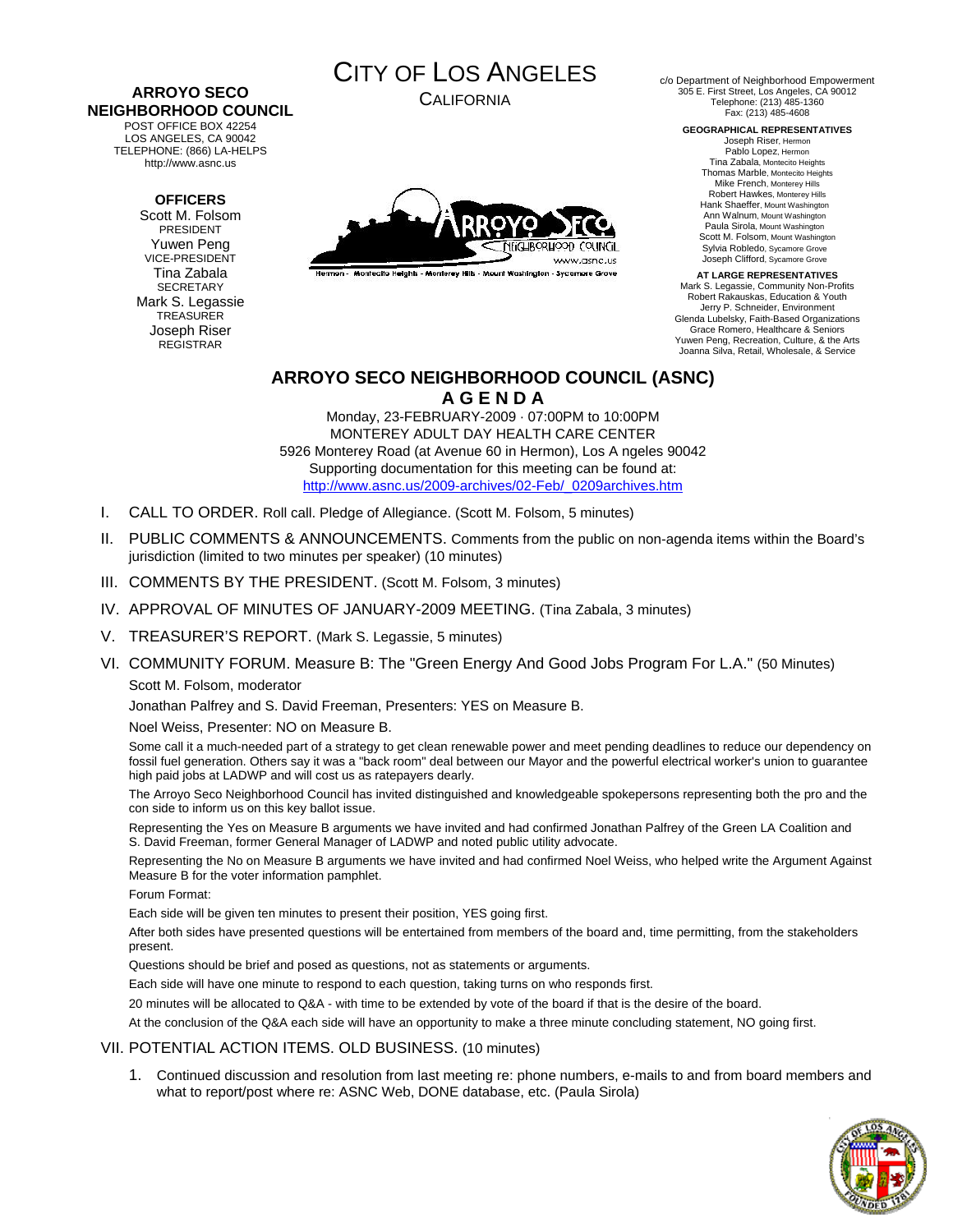#### **ARROYO SECO NEIGHBORHOOD COUNCIL**  POST OFFICE BOX 42254

LOS ANGELES, CA 90042 TELEPHONE: (866) LA-HELPS http://www.asnc.us

### **OFFICERS**

Scott M. Folsom PRESIDENT Yuwen Peng VICE-PRESIDENT Tina Zabala SECRETARY Mark S. Legassie TREASURER Joseph Riser REGISTRAR



CALIFORNIA



Hermon - Montecito Heights - Monterey Hills - Mount Washington - Sycamore Grove

c/o Department of Neighborhood Empowerment 305 E. First Street, Los Angeles, CA 90012 Telephone: (213) 485-1360 Fax: (213) 485-4608

#### **GEOGRAPHICAL REPRESENTATIVES**

Joseph Riser, Hermon Pablo Lopez, Hermon Tina Zabala, Montecito Heights Thomas Marble, Montecito Heights Mike French, Monterey Hills Robert Hawkes, Monterey Hills Hank Shaeffer, Mount Washington Ann Walnum, Mount Washington Paula Sirola, Mount Washington Scott M. Folsom, Mount Washington Sylvia Robledo, Sycamore Grove Joseph Clifford, Sycamore Grove

**AT LARGE REPRESENTATIVES**  Mark S. Legassie, Community Non-Profits Robert Rakauskas, Education & Youth Jerry P. Schneider, Environment Glenda Lubelsky, Faith-Based Organizations Grace Romero, Healthcare & Seniors Yuwen Peng, Recreation, Culture, & the Arts Joanna Silva, Retail, Wholesale, & Service

## **ARROYO SECO NEIGHBORHOOD COUNCIL (ASNC) A G E N D A**

Monday, 23-FEBRUARY-2009 · 07:00PM to 10:00PM MONTEREY ADULT DAY HEALTH CARE CENTER 5926 Monterey Road (at Avenue 60 in Hermon), Los A ngeles 90042 Supporting documentation for this meeting can be found at: [http://www.asnc.us/2009-archives/02-Feb/\\_0209archives.htm](http://www.asnc.us/2009-archives/02-Feb/_0209archives.htm)

- I. CALL TO ORDER. Roll call. Pledge of Allegiance. (Scott M. Folsom, 5 minutes)
- II. PUBLIC COMMENTS & ANNOUNCEMENTS. Comments from the public on non-agenda items within the Board's jurisdiction (limited to two minutes per speaker) (10 minutes)
- III. COMMENTS BY THE PRESIDENT. (Scott M. Folsom, 3 minutes)
- IV. APPROVAL OF MINUTES OF JANUARY-2009 MEETING. (Tina Zabala, 3 minutes)
- V. TREASURER'S REPORT. (Mark S. Legassie, 5 minutes)
- VI. COMMUNITY FORUM. Measure B: The "Green Energy And Good Jobs Program For L.A." (50 Minutes) Scott M. Folsom, moderator

Jonathan Palfrey and S. David Freeman, Presenters: YES on Measure B.

Noel Weiss, Presenter: NO on Measure B.

Some call it a much-needed part of a strategy to get clean renewable power and meet pending deadlines to reduce our dependency on fossil fuel generation. Others say it was a "back room" deal between our Mayor and the powerful electrical worker's union to guarantee high paid jobs at LADWP and will cost us as ratepayers dearly.

The Arroyo Seco Neighborhood Council has invited distinguished and knowledgeable spokepersons representing both the pro and the con side to inform us on this key ballot issue.

Representing the Yes on Measure B arguments we have invited and had confirmed Jonathan Palfrey of the Green LA Coalition and S. David Freeman, former General Manager of LADWP and noted public utility advocate.

Representing the No on Measure B arguments we have invited and had confirmed Noel Weiss, who helped write the Argument Against Measure B for the voter information pamphlet.

Forum Format:

Each side will be given ten minutes to present their position, YES going first.

After both sides have presented questions will be entertained from members of the board and, time permitting, from the stakeholders present.

Questions should be brief and posed as questions, not as statements or arguments.

Each side will have one minute to respond to each question, taking turns on who responds first.

20 minutes will be allocated to Q&A - with time to be extended by vote of the board if that is the desire of the board.

At the conclusion of the Q&A each side will have an opportunity to make a three minute concluding statement, NO going first.

### VII. POTENTIAL ACTION ITEMS. OLD BUSINESS. (10 minutes)

1. Continued discussion and resolution from last meeting re: phone numbers, e-mails to and from board members and what to report/post where re: ASNC Web, DONE database, etc. (Paula Sirola)

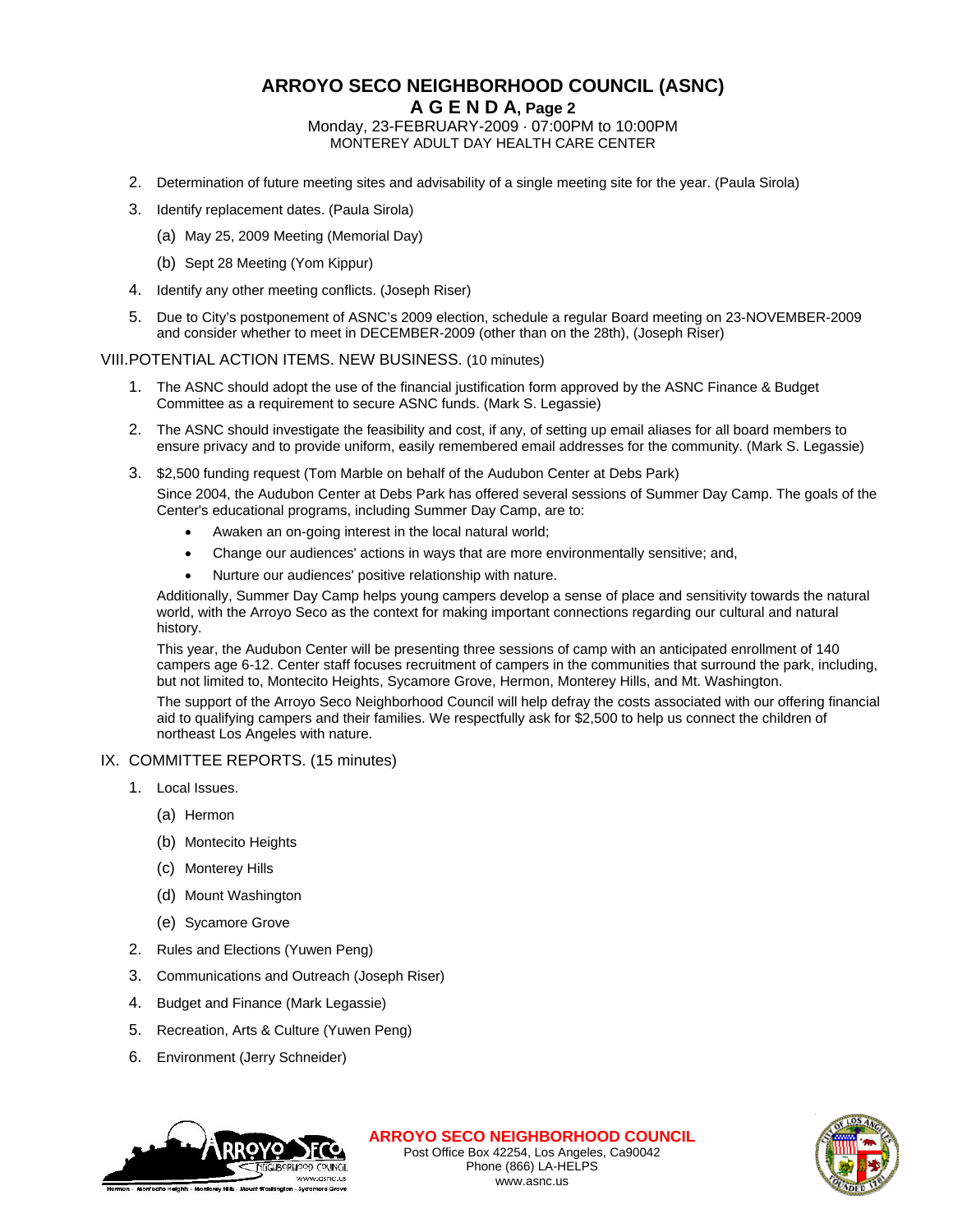# **ARROYO SECO NEIGHBORHOOD COUNCIL (ASNC)**

**A G E N D A, Page 2**

Monday, 23-FEBRUARY-2009 · 07:00PM to 10:00PM MONTEREY ADULT DAY HEALTH CARE CENTER

- 2. Determination of future meeting sites and advisability of a single meeting site for the year. (Paula Sirola)
- 3. Identify replacement dates. (Paula Sirola)
	- (a) May 25, 2009 Meeting (Memorial Day)
	- (b) Sept 28 Meeting (Yom Kippur)
- 4. Identify any other meeting conflicts. (Joseph Riser)
- 5. Due to City's postponement of ASNC's 2009 election, schedule a regular Board meeting on 23-NOVEMBER-2009 and consider whether to meet in DECEMBER-2009 (other than on the 28th), (Joseph Riser)

VIII. POTENTIAL ACTION ITEMS. NEW BUSINESS. (10 minutes)

- 1. The ASNC should adopt the use of the financial justification form approved by the ASNC Finance & Budget Committee as a requirement to secure ASNC funds. (Mark S. Legassie)
- 2. The ASNC should investigate the feasibility and cost, if any, of setting up email aliases for all board members to ensure privacy and to provide uniform, easily remembered email addresses for the community. (Mark S. Legassie)
- 3. \$2,500 funding request (Tom Marble on behalf of the Audubon Center at Debs Park)

Since 2004, the Audubon Center at Debs Park has offered several sessions of Summer Day Camp. The goals of the Center's educational programs, including Summer Day Camp, are to:

- Awaken an on-going interest in the local natural world;
- Change our audiences' actions in ways that are more environmentally sensitive; and,
- Nurture our audiences' positive relationship with nature.

Additionally, Summer Day Camp helps young campers develop a sense of place and sensitivity towards the natural world, with the Arroyo Seco as the context for making important connections regarding our cultural and natural history.

This year, the Audubon Center will be presenting three sessions of camp with an anticipated enrollment of 140 campers age 6-12. Center staff focuses recruitment of campers in the communities that surround the park, including, but not limited to, Montecito Heights, Sycamore Grove, Hermon, Monterey Hills, and Mt. Washington.

The support of the Arroyo Seco Neighborhood Council will help defray the costs associated with our offering financial aid to qualifying campers and their families. We respectfully ask for \$2,500 to help us connect the children of northeast Los Angeles with nature.

#### IX. COMMITTEE REPORTS. (15 minutes)

- 1. Local Issues.
	- (a) Hermon
	- (b) Montecito Heights
	- (c) Monterey Hills
	- (d) Mount Washington
	- (e) Sycamore Grove
- 2. Rules and Elections (Yuwen Peng)
- 3. Communications and Outreach (Joseph Riser)
- 4. Budget and Finance (Mark Legassie)
- 5. Recreation, Arts & Culture (Yuwen Peng)
- 6. Environment (Jerry Schneider)



**ARROYO SECO NEIGHBORHOOD COUNCIL** Post Office Box 42254, Los Angeles, Ca90042 Phone (866) LA-HELPS www.asnc.us